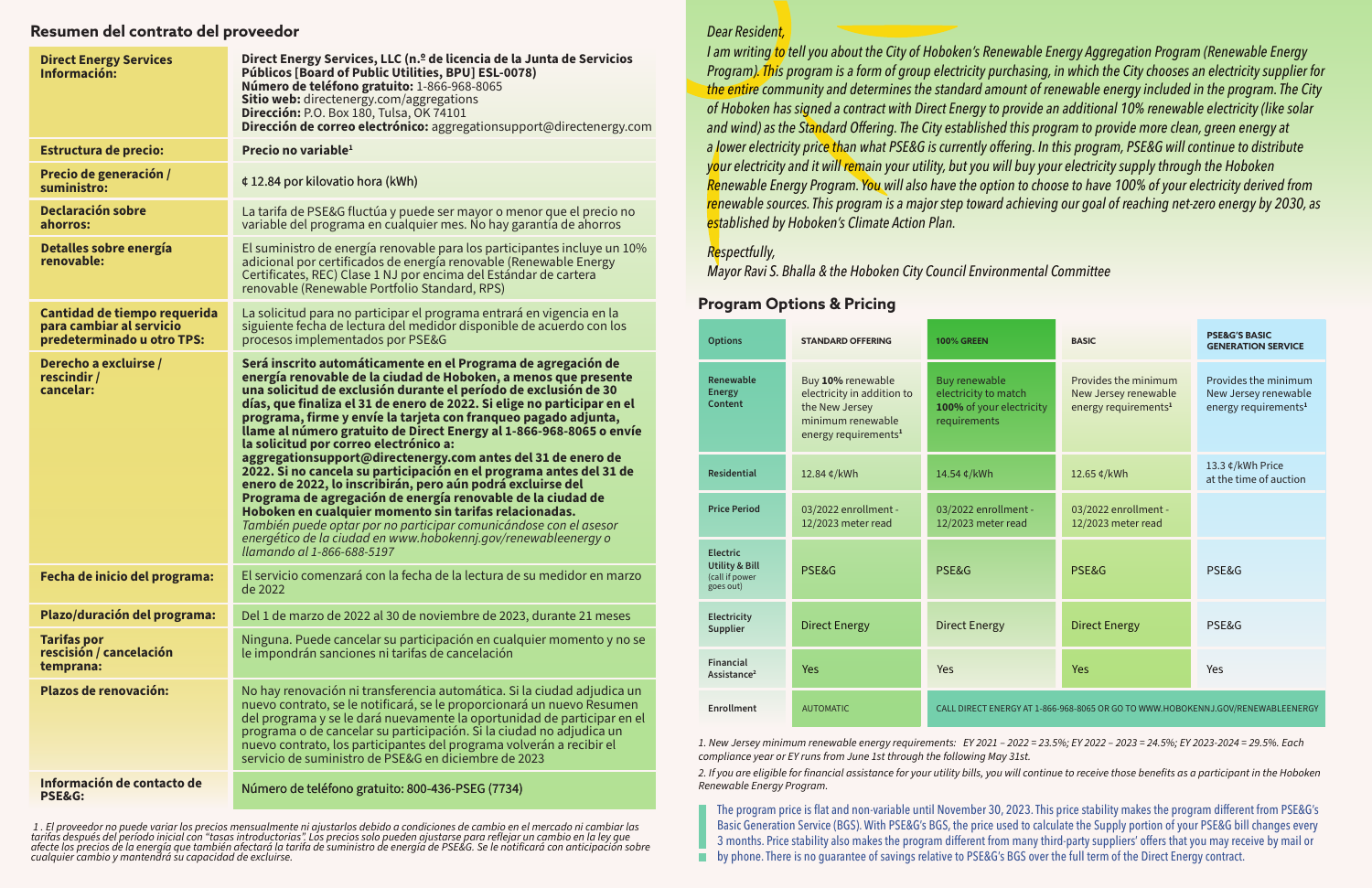#### *Dear Resident,*

*I am writing to tell you about the City of Hoboken's Renewable Energy Aggregation Program (Renewable Energy Program). This program is a form of group electricity purchasing, in which the City chooses an electricity supplier for the entire community and determines the standard amount of renewable energy included in the program. The City of Hoboken has signed a contract with Direct Energy to provide an additional 10% renewable electricity (like solar and wind) as the Standard Offering. The City established this program to provide more clean, green energy at a lower electricity price than what PSE&G is currently offering. In this program, PSE&G will continue to distribute your electricity and it will remain your utility, but you will buy your electricity supply through the Hoboken Renewable Energy Program. You will also have the option to choose to have 100% of your electricity derived from renewable sources. This program is a major step toward achieving our goal of reaching net-zero energy by 2030, as established by Hoboken's Climate Action Plan.*

#### *Respectfully,*

*Mayor Ravi S. Bhalla & the Hoboken City Council Environmental Committee*

*1. New Jersey minimum renewable energy requirements: EY 2021 – 2022 = 23.5%; EY 2022 – 2023 = 24.5%; EY 2023-2024 = 29.5%. Each compliance year or EY runs from June 1st through the following May 31st. 2. If you are eligible for financial assistance for your utility bills, you will continue to receive those benefits as a participant in the Hoboken Renewable Energy Program.*

### **Program Options & Pricing**

The program price is flat and non-variable until November 30, 2023. This price stability makes the program different from PSE&G's Basic Generation Service (BGS). With PSE&G's BGS, the price used to calculate the Supply portion of your PSE&G bill changes every 3 months. Price stability also makes the program different from many third-party suppliers' offers that you may receive by mail or by phone. There is no guarantee of savings relative to PSE&G's BGS over the full term of the Direct Energy contract.

#### **Resumen del contrato del proveedor**

| <b>Options</b>                                                              | <b>STANDARD OFFERING</b>                                                                                                   | <b>100% GREEN</b>                                                                        | <b>BASIC</b>                                                                     | <b>PSE&amp;G'S BASIC</b><br><b>GENERATIONS</b>    |
|-----------------------------------------------------------------------------|----------------------------------------------------------------------------------------------------------------------------|------------------------------------------------------------------------------------------|----------------------------------------------------------------------------------|---------------------------------------------------|
| Renewable<br><b>Energy</b><br><b>Content</b>                                | Buy 10% renewable<br>electricity in addition to<br>the New Jersey<br>minimum renewable<br>energy requirements <sup>1</sup> | <b>Buy renewable</b><br>electricity to match<br>100% of your electricity<br>requirements | Provides the minimum<br>New Jersey renewable<br>energy requirements <sup>1</sup> | Provides the r<br>New Jersey re<br>energy require |
| <b>Residential</b>                                                          | 12.84 ¢/kWh                                                                                                                | 14.54 ¢/kWh                                                                              | 12.65 ¢/kWh                                                                      | 13.3 ¢/kWh Pr<br>at the time of                   |
| <b>Price Period</b>                                                         | 03/2022 enrollment -<br>12/2023 meter read                                                                                 | 03/2022 enrollment -<br>12/2023 meter read                                               | 03/2022 enrollment -<br>12/2023 meter read                                       |                                                   |
| <b>Electric</b><br><b>Utility &amp; Bill</b><br>(call if power<br>goes out) | PSE&G                                                                                                                      | PSE&G                                                                                    | PSE&G                                                                            | PSE&G                                             |
| Electricity<br><b>Supplier</b>                                              | <b>Direct Energy</b>                                                                                                       | <b>Direct Energy</b>                                                                     | <b>Direct Energy</b>                                                             | PSE&G                                             |
| <b>Financial</b><br>Assistance <sup>2</sup>                                 | Yes                                                                                                                        | Yes                                                                                      | Yes                                                                              | Yes                                               |
| <b>Enrollment</b>                                                           | <b>AUTOMATIC</b>                                                                                                           | CALL DIRECT ENERGY AT 1-866-968-8065 OR GO TO WWW.HOBOKENNJ.GOV/RENEWA                   |                                                                                  |                                                   |

# 14.54 ¢/kWh 12.65 ¢/kWh PSE&G PSE&G PSE&G PSE&G Direct Energy PSE&G Yes Yes Yes Yes 13.3 ¢/kWh Price at the time of auction **GENERATION SERVICE** nent read 03/2022 enrollment - 12/2023 meter read  $^{11}$ *<u>ectricity</u>* Provides the minimum New Jersey renewable energy requirements**<sup>1</sup>** Provides the minimum New Jersey renewable energy requirements**<sup>1</sup>**

RGY AT 1-866-968-8065 OR GO TO WWW.HOBOKENNJ.GOV/RENEWABLEENERGY

| <b>Direct Energy Services</b><br>Información:                                          | Direct Energy Services, LLC (n. <sup>o</sup> de licencia de la Junta de Servicios<br><b>Públicos [Board of Public Utilities, BPU] ESL-0078)</b><br>Número de teléfono gratuito: 1-866-968-8065<br>Sitio web: directenergy.com/aggregations<br><b>Dirección: P.O. Box 180, Tulsa, OK 74101</b><br>Dirección de correo electrónico: aggregationsupport@directenergy.com                                                                                                                                                                                                                                                                                                                                                                                                                                                                                                                                                                                                   |  |  |
|----------------------------------------------------------------------------------------|-------------------------------------------------------------------------------------------------------------------------------------------------------------------------------------------------------------------------------------------------------------------------------------------------------------------------------------------------------------------------------------------------------------------------------------------------------------------------------------------------------------------------------------------------------------------------------------------------------------------------------------------------------------------------------------------------------------------------------------------------------------------------------------------------------------------------------------------------------------------------------------------------------------------------------------------------------------------------|--|--|
| <b>Estructura de precio:</b>                                                           | Precio no variable <sup>1</sup>                                                                                                                                                                                                                                                                                                                                                                                                                                                                                                                                                                                                                                                                                                                                                                                                                                                                                                                                         |  |  |
| Precio de generación /<br>suministro:                                                  | ¢ 12.84 por kilovatio hora (kWh)                                                                                                                                                                                                                                                                                                                                                                                                                                                                                                                                                                                                                                                                                                                                                                                                                                                                                                                                        |  |  |
| <b>Declaración sobre</b><br>ahorros:                                                   | La tarifa de PSE&G fluctúa y puede ser mayor o menor que el precio no<br>variable del programa en cualquier mes. No hay garantía de ahorros                                                                                                                                                                                                                                                                                                                                                                                                                                                                                                                                                                                                                                                                                                                                                                                                                             |  |  |
| Detalles sobre energía<br>renovable:                                                   | El suministro de energía renovable para los participantes incluye un 10%<br>adicional por certificados de energía renovable (Renewable Energy<br>Certificates, REC) Clase 1 NJ por encima del Estándar de cartera<br>renovable (Renewable Portfolio Standard, RPS)                                                                                                                                                                                                                                                                                                                                                                                                                                                                                                                                                                                                                                                                                                      |  |  |
| Cantidad de tiempo requerida<br>para cambiar al servicio<br>predeterminado u otro TPS: | La solicitud para no participar el programa entrará en vigencia en la<br>siguiente fecha de lectura del medidor disponible de acuerdo con los<br>procesos implementados por PSE&G                                                                                                                                                                                                                                                                                                                                                                                                                                                                                                                                                                                                                                                                                                                                                                                       |  |  |
| Derecho a excluirse /<br>rescindir /<br>cancelar:                                      | Será inscrito automáticamente en el Programa de agregación de<br>energía renovable de la ciudad de Hoboken, a menos que presente<br>una solicitud de exclusión durante el período de exclusión de 30<br>días, que finaliza el 31 de enero de 2022. Si elige no participar en el<br>programa, firme y envíe la tarjeta con franqueo pagado adjunta,<br>llame al número gratuito de Direct Energy al 1-866-968-8065 o envíe<br>la solicitud por correo electrónico a:<br>aggregationsupport@directenergy.com antes del 31 de enero de<br>2022. Si no cancela su participación en el programa antes del 31 de<br>enero de 2022, lo inscribirán, pero aún podrá excluirse del<br>Programa de agregación de energía renovable de la ciudad de<br>Hoboken en cualquier momento sin tarifas relacionadas.<br>También puede optar por no participar comunicándose con el asesor<br>energético de la ciudad en www.hobokennj.gov/renewableenergy o<br>Ilamando al 1-866-688-5197 |  |  |
| Fecha de inicio del programa:                                                          | El servicio comenzará con la fecha de la lectura de su medidor en marzo<br>de 2022                                                                                                                                                                                                                                                                                                                                                                                                                                                                                                                                                                                                                                                                                                                                                                                                                                                                                      |  |  |
| Plazo/duración del programa:                                                           | Del 1 de marzo de 2022 al 30 de noviembre de 2023, durante 21 meses                                                                                                                                                                                                                                                                                                                                                                                                                                                                                                                                                                                                                                                                                                                                                                                                                                                                                                     |  |  |
| <b>Tarifas por</b><br>rescisión / cancelación<br>temprana:                             | Ninguna. Puede cancelar su participación en cualquier momento y no se<br>le impondrán sanciones ni tarifas de cancelación                                                                                                                                                                                                                                                                                                                                                                                                                                                                                                                                                                                                                                                                                                                                                                                                                                               |  |  |
| <b>Plazos de renovación:</b>                                                           | No hay renovación ni transferencia automática. Si la ciudad adjudica un<br>nuevo contrato, se le notificará, se le proporcionará un nuevo Resumen<br>del programa y se le dará nuevamente la oportunidad de participar en el<br>programa o de cancelar su participación. Si la ciudad no adjudica un<br>nuevo contrato, los participantes del programa volverán a recibir el<br>servicio de suministro de PSE&G en diciembre de 2023                                                                                                                                                                                                                                                                                                                                                                                                                                                                                                                                    |  |  |
| Información de contacto de<br><b>PSE&amp;G:</b>                                        | Número de teléfono gratuito: 800-436-PSEG (7734)                                                                                                                                                                                                                                                                                                                                                                                                                                                                                                                                                                                                                                                                                                                                                                                                                                                                                                                        |  |  |

 *1 . El proveedor no puede variar los precios mensualmente ni ajustarlos debido a condiciones de cambio en el mercado ni cambiar las tarifas después del período inicial con "tasas introductorias". Los precios solo pueden ajustarse para reflejar un cambio en la ley que afecte los precios de la energía que también afectará la tarifa de suministro de energía de PSE&G. Se le notificará con anticipación sobre cualquier cambio y mantendrá su capacidad de excluirse.*